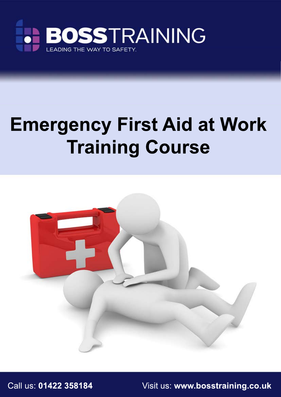

# **Emergency First Aid at Work Training Course**



Call us: **01422 358184** Visit us: **www.bosstraining.co.uk**